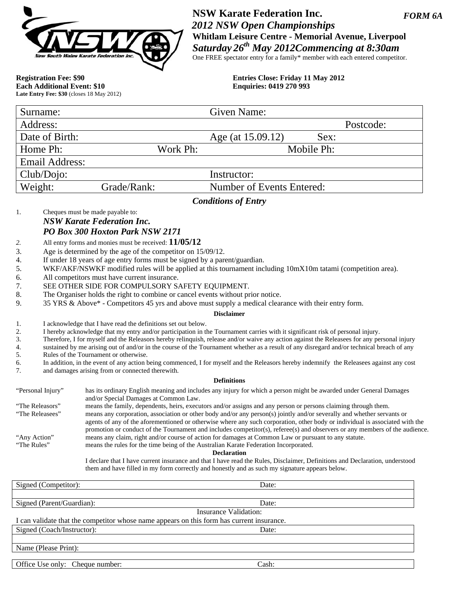

*FORM 6A*  **NSW Karate Federation Inc.**   *2012 NSW Open Championships*  **Whitlam Leisure Centre - Memorial Avenue, Liverpool**  *Saturday 26th May 2012Commencing at 8:30am*  One FREE spectator entry for a family\* member with each entered competitor.

**Each Additional Event: \$10 Late Entry Fee: \$30** (closes 18 May 2012)

**Registration Fee: \$90 Entries Close: Friday 11 May 2012**<br> **Each Additional Event: \$10 Enquiries: 0419 270 993** 

| Surname:                                                      |             |          | Given Name:               |            |           |
|---------------------------------------------------------------|-------------|----------|---------------------------|------------|-----------|
| Address:                                                      |             |          |                           |            | Postcode: |
| Date of Birth:                                                |             |          | Age (at 15.09.12)         | Sex:       |           |
| Home Ph:                                                      |             | Work Ph: |                           | Mobile Ph: |           |
| Email Address:                                                |             |          |                           |            |           |
| Club/Dojo:                                                    |             |          | Instructor:               |            |           |
| Weight:                                                       | Grade/Rank: |          | Number of Events Entered: |            |           |
| $\mathcal{C}_{\alpha\beta}$ different of $\mathbf{E}_{\beta}$ |             |          |                           |            |           |

### *Conditions of Entry*

1. Cheques must be made payable to: *NSW Karate Federation Inc. PO Box 300 Hoxton Park NSW 2171*

- *2.* All entry forms and monies must be received: **11/05/12**
- 3. Age is determined by the age of the competitor on 15/09/12.
- 4. If under 18 years of age entry forms must be signed by a parent/guardian.
- 5. WKF/AKF/NSWKF modified rules will be applied at this tournament including 10mX10m tatami (competition area).
- 6. All competitors must have current insurance.
- 7. SEE OTHER SIDE FOR COMPULSORY SAFETY EQUIPMENT.
- 8. The Organiser holds the right to combine or cancel events without prior notice.
- 9. 35 YRS & Above\* Competitors 45 yrs and above must supply a medical clearance with their entry form.

#### **Disclaimer**

- 1. I acknowledge that I have read the definitions set out below.
- 2. I hereby acknowledge that my entry and/or participation in the Tournament carries with it significant risk of personal injury.
- 3. Therefore, I for myself and the Releasors hereby relinquish, release and/or waive any action against the Releasees for any personal injury
- 4. sustained by me arising out of and/or in the course of the Tournament whether as a result of any disregard and/or technical breach of any
- 5. Rules of the Tournament or otherwise.
- 6. In addition, in the event of any action being commenced, I for myself and the Releasors hereby indemnify the Releasees against any cost 7. and damages arising from or connected therewith.

#### **Definitions**

| "Personal Injury" | has its ordinary English meaning and includes any injury for which a person might be awarded under General Damages           |
|-------------------|------------------------------------------------------------------------------------------------------------------------------|
|                   | and/or Special Damages at Common Law.                                                                                        |
| "The Releasors"   | means the family, dependents, heirs, executors and/or assigns and any person or persons claiming through them.               |
| "The Releasees"   | means any corporation, association or other body and/or any person(s) jointly and/or severally and whether servants or       |
|                   | agents of any of the aforementioned or otherwise where any such corporation, other body or individual is associated with the |
|                   | promotion or conduct of the Tournament and includes competitor(s), referee(s) and observers or any members of the audience.  |
| "Any Action"      | means any claim, right and/or course of action for damages at Common Law or pursuant to any statute.                         |
| "The Rules"       | means the rules for the time being of the Australian Karate Federation Incorporated.                                         |
|                   | <b>Declaration</b>                                                                                                           |
|                   | I declare that I have current insurance and that I have read the Rules, Disclaimer, Definitions and Declaration, understood  |

them and have filled in my form correctly and honestly and as such my signature appears below.

| Signed (Competitor):                                                                      | Date: |  |  |  |  |
|-------------------------------------------------------------------------------------------|-------|--|--|--|--|
|                                                                                           |       |  |  |  |  |
| Signed (Parent/Guardian):                                                                 | Date: |  |  |  |  |
| Insurance Validation:                                                                     |       |  |  |  |  |
| I can validate that the competitor whose name appears on this form has current insurance. |       |  |  |  |  |
| Signed (Coach/Instructor):                                                                | Date: |  |  |  |  |
|                                                                                           |       |  |  |  |  |
| Name (Please Print):                                                                      |       |  |  |  |  |
|                                                                                           |       |  |  |  |  |
| Office Use only: Cheque number:                                                           | Cash: |  |  |  |  |